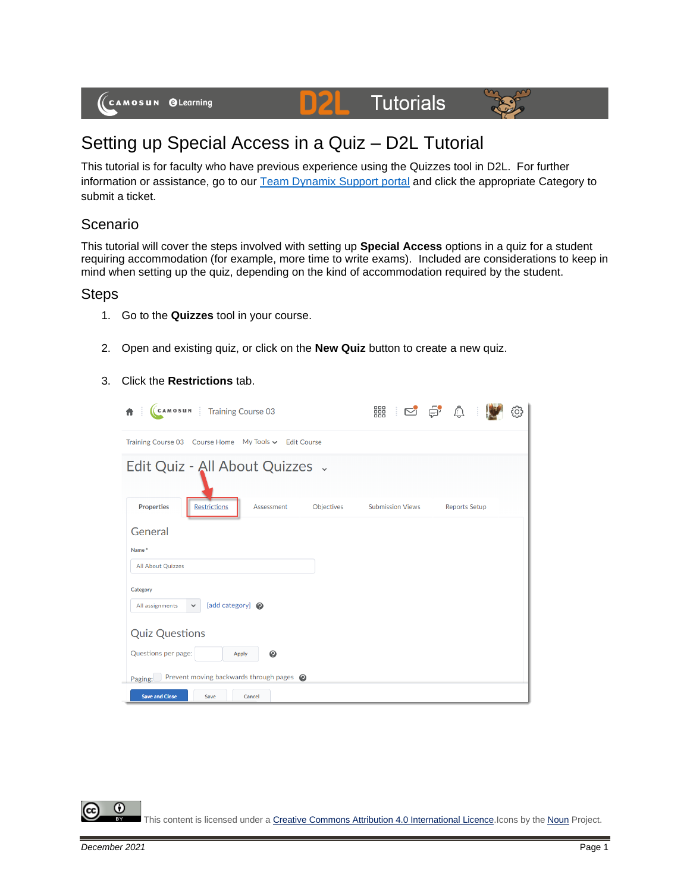

# Tutorials



# Setting up Special Access in a Quiz – D2L Tutorial

D

This tutorial is for faculty who have previous experience using the Quizzes tool in D2L. For further information or assistance, go to our [Team Dynamix Support portal](https://camosun.teamdynamix.com/TDClient/67/Portal/Requests/ServiceCatalog?CategoryID=523) and click the appropriate Category to submit a ticket.

## Scenario

This tutorial will cover the steps involved with setting up **Special Access** options in a quiz for a student requiring accommodation (for example, more time to write exams). Included are considerations to keep in mind when setting up the quiz, depending on the kind of accommodation required by the student.

### Steps

- 1. Go to the **Quizzes** tool in your course.
- 2. Open and existing quiz, or click on the **New Quiz** button to create a new quiz.
- 3. Click the **Restrictions** tab.

| (CAMOSUN :<br><b>Training Course 03</b>                              | 器<br>E S A<br>9                                 |  |  |  |  |
|----------------------------------------------------------------------|-------------------------------------------------|--|--|--|--|
| Training Course 03 Course Home My Tools v Edit Course                |                                                 |  |  |  |  |
| Edit Quiz - All About Quizzes .                                      |                                                 |  |  |  |  |
| <b>Properties</b><br><b>Restrictions</b><br>Objectives<br>Assessment | <b>Submission Views</b><br><b>Reports Setup</b> |  |  |  |  |
| General                                                              |                                                 |  |  |  |  |
| Name*                                                                |                                                 |  |  |  |  |
| <b>All About Quizzes</b>                                             |                                                 |  |  |  |  |
| Category<br>[add category] @<br>All assignments<br>$\checkmark$      |                                                 |  |  |  |  |
| <b>Quiz Questions</b>                                                |                                                 |  |  |  |  |
| Questions per page:<br>ℯ<br>Apply                                    |                                                 |  |  |  |  |
| Prevent moving backwards through pages @<br>Paging:                  |                                                 |  |  |  |  |
| <b>Save and Close</b><br>Save<br>Cancel                              |                                                 |  |  |  |  |

O This content is licensed under [a Creative Commons Attribution 4.0 International Licence.I](https://creativecommons.org/licenses/by/4.0/)cons by the [Noun](https://creativecommons.org/website-icons/) Project.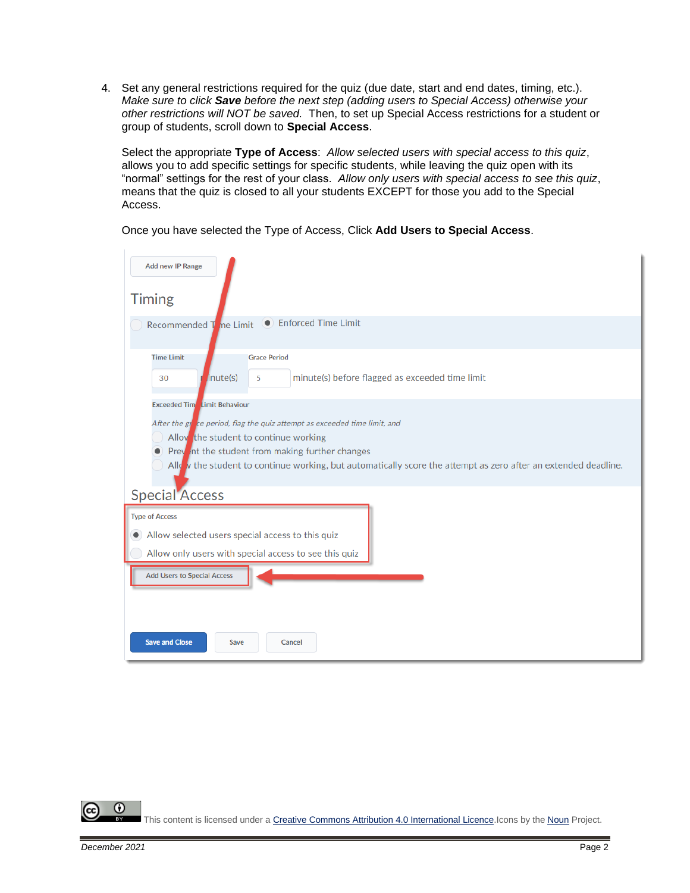4. Set any general restrictions required for the quiz (due date, start and end dates, timing, etc.). *Make sure to click Save before the next step (adding users to Special Access) otherwise your other restrictions will NOT be saved.* Then, to set up Special Access restrictions for a student or group of students, scroll down to **Special Access**.

Select the appropriate **Type of Access**: *Allow selected users with special access to this quiz*, allows you to add specific settings for specific students, while leaving the quiz open with its "normal" settings for the rest of your class. *Allow only users with special access to see this quiz*, means that the quiz is closed to all your students EXCEPT for those you add to the Special Access.

#### Once you have selected the Type of Access, Click **Add Users to Special Access**.

| Add new IP Range<br><b>Timing</b>                                                                                                                                                                                                                                                                                               |
|---------------------------------------------------------------------------------------------------------------------------------------------------------------------------------------------------------------------------------------------------------------------------------------------------------------------------------|
| • Enforced Time Limit<br>Recommended T he Limit                                                                                                                                                                                                                                                                                 |
| <b>Time Limit</b><br><b>Grace Period</b><br>inute(s)<br>minute(s) before flagged as exceeded time limit<br>30<br>5                                                                                                                                                                                                              |
| <b>Exceeded Tim</b> Limit Behaviour<br>After the glace period, flag the quiz attempt as exceeded time limit, and<br>Alloy the student to continue working<br>Prev int the student from making further changes<br>Allow the student to continue working, but automatically score the attempt as zero after an extended deadline. |
| <b>Special Access</b><br><b>Type of Access</b><br>Allow selected users special access to this quiz<br>$\bullet$<br>Allow only users with special access to see this quiz                                                                                                                                                        |
| <b>Add Users to Special Access</b><br><b>Save and Close</b><br>Cancel<br>Save                                                                                                                                                                                                                                                   |

0 This content is licensed under [a Creative Commons Attribution 4.0 International Licence.I](https://creativecommons.org/licenses/by/4.0/)cons by the [Noun](https://creativecommons.org/website-icons/) Project.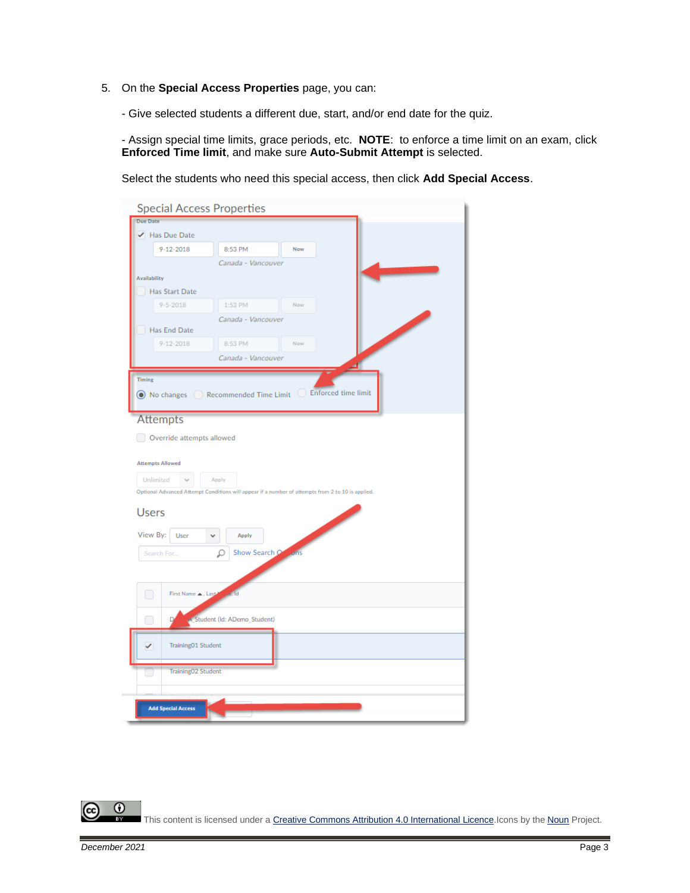- 5. On the **Special Access Properties** page, you can:
	- Give selected students a different due, start, and/or end date for the quiz.

- Assign special time limits, grace periods, etc. **NOTE**: to enforce a time limit on an exam, click **Enforced Time limit**, and make sure **Auto-Submit Attempt** is selected.

Select the students who need this special access, then click **Add Special Access**.

| <b>Special Access Properties</b>                                                                  |                    |  |  |  |
|---------------------------------------------------------------------------------------------------|--------------------|--|--|--|
| <b>Due Date</b>                                                                                   |                    |  |  |  |
| ✔ Has Due Date                                                                                    |                    |  |  |  |
| $9 - 12 - 2018$                                                                                   | 8:53 PM<br>Now     |  |  |  |
|                                                                                                   | Canada - Vancouver |  |  |  |
| <b>Availability</b>                                                                               |                    |  |  |  |
| Has Start Date                                                                                    |                    |  |  |  |
| $9 - 5 - 2018$                                                                                    | 1:53 PM<br>Now     |  |  |  |
|                                                                                                   | Canada - Vancouver |  |  |  |
| Has End Date                                                                                      |                    |  |  |  |
| $9 - 12 - 2018$                                                                                   | 8:53 PM<br>Now     |  |  |  |
|                                                                                                   | Canada - Vancouver |  |  |  |
| Timing<br>$\odot$ No changes $\odot$ Recommended Time Limit $\odot$ Enforced time limit           |                    |  |  |  |
| <b>Attempts</b>                                                                                   |                    |  |  |  |
| Override attempts allowed                                                                         |                    |  |  |  |
|                                                                                                   |                    |  |  |  |
| <b>Attempts Allowed</b>                                                                           |                    |  |  |  |
| Unlimited<br>Apply                                                                                |                    |  |  |  |
| Optional Advanced Attempt Conditions will appear if a number of attempts from 2 to 10 is applied. |                    |  |  |  |
| <b>Users</b>                                                                                      |                    |  |  |  |
| View By:<br>User<br>Apply<br>$\checkmark$                                                         |                    |  |  |  |
| Show Search Come                                                                                  |                    |  |  |  |
| Search For<br>Ω                                                                                   |                    |  |  |  |
|                                                                                                   |                    |  |  |  |
| $\Box$<br>First Name  , Last-                                                                     | ĪН                 |  |  |  |
| Student (Id: ADemo_Student)<br>U                                                                  |                    |  |  |  |
| Training01 Student<br>✓                                                                           |                    |  |  |  |
| Training02 Student                                                                                |                    |  |  |  |
|                                                                                                   |                    |  |  |  |
| <b>Add Special Access</b>                                                                         |                    |  |  |  |
|                                                                                                   |                    |  |  |  |

 $\Omega$ This content is licensed under [a Creative Commons Attribution 4.0 International Licence.I](https://creativecommons.org/licenses/by/4.0/)cons by the [Noun](https://creativecommons.org/website-icons/) Project.